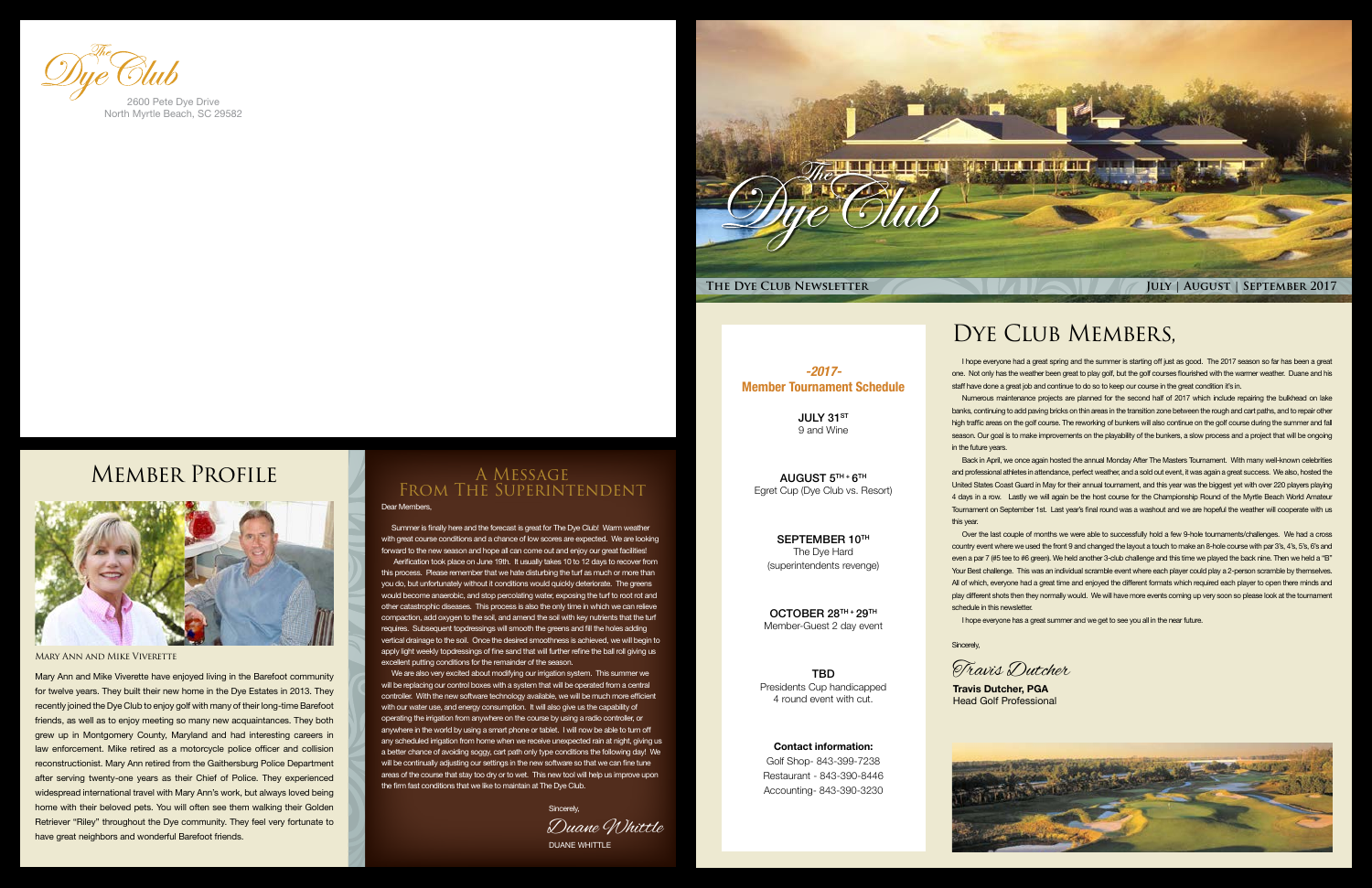

JULY 31ST 9 and Wine

*-2017-* Member Tournament Schedule

AUGUST  $5<sup>TH</sup> + 6<sup>TH</sup>$ Egret Cup (Dye Club vs. Resort)

**TBD** Presidents Cup handicapped 4 round event with cut.

SEPTEMBER 10TH The Dye Hard (superintendents revenge)

OCTOBER 28TH + 29TH Member-Guest 2 day event

Contact information: Golf Shop- 843-399-7238 Restaurant - 843-390-8446 Accounting- 843-390-3230 Sincerely,

#### Dear Members,

Summer is finally here and the forecast is great for The Dye Club! Warm weather with great course conditions and a chance of low scores are expected. We are looking forward to the new season and hope all can come out and enjoy our great facilities!

 Aerification took place on June 19th. It usually takes 10 to 12 days to recover from this process. Please remember that we hate disturbing the turf as much or more than you do, but unfortunately without it conditions would quickly deteriorate. The greens would become anaerobic, and stop percolating water, exposing the turf to root rot and other catastrophic diseases. This process is also the only time in which we can relieve compaction, add oxygen to the soil, and amend the soil with key nutrients that the turf requires. Subsequent topdressings will smooth the greens and fill the holes adding vertical drainage to the soil. Once the desired smoothness is achieved, we will begin to apply light weekly topdressings of fine sand that will further refine the ball roll giving us excellent putting conditions for the remainder of the season.

We are also very excited about modifying our irrigation system. This summer we will be replacing our control boxes with a system that will be operated from a central controller. With the new software technology available, we will be much more efficient with our water use, and energy consumption. It will also give us the capability of operating the irrigation from anywhere on the course by using a radio controller, or anywhere in the world by using a smart phone or tablet. I will now be able to turn off any scheduled irrigation from home when we receive unexpected rain at night, giving us a better chance of avoiding soggy, cart path only type conditions the following day! We will be continually adjusting our settings in the new software so that we can fine tune areas of the course that stay too dry or to wet. This new tool will help us improve upon the firm fast conditions that we like to maintain at The Dye Club.

A Message From The Superintendent

I hope everyone had a great spring and the summer is starting off just as good. The 2017 season so far has been a great one. Not only has the weather been great to play golf, but the golf courses flourished with the warmer weather. Duane and his staff have done a great job and continue to do so to keep our course in the great condition it's in.

Numerous maintenance projects are planned for the second half of 2017 which include repairing the bulkhead on lake banks, continuing to add paving bricks on thin areas in the transition zone between the rough and cart paths, and to repair other high traffic areas on the golf course. The reworking of bunkers will also continue on the golf course during the summer and fall season. Our goal is to make improvements on the playability of the bunkers, a slow process and a project that will be ongoing

in the future years.

Back in April, we once again hosted the annual Monday After The Masters Tournament. With many well-known celebrities and professional athletes in attendance, perfect weather, and a sold out event, it was again a great success. We also, hosted the United States Coast Guard in May for their annual tournament, and this year was the biggest yet with over 220 players playing 4 days in a row. Lastly we will again be the host course for the Championship Round of the Myrtle Beach World Amateur Tournament on September 1st. Last year's final round was a washout and we are hopeful the weather will cooperate with us

this year.

Over the last couple of months we were able to successfully hold a few 9-hole tournaments/challenges. We had a cross country event where we used the front 9 and changed the layout a touch to make an 8-hole course with par 3's, 4's, 5's, 6's and even a par 7 (#5 tee to #6 green). We held another 3-club challenge and this time we played the back nine. Then we held a "B" Your Best challenge. This was an individual scramble event where each player could play a 2-person scramble by themselves. All of which, everyone had a great time and enjoyed the different formats which required each player to open there minds and play different shots then they normally would. We will have more events coming up very soon so please look at the tournament schedule in this newsletter.

I hope everyone has a great summer and we get to see you all in the near future.

**Travis Dutcher, PGA**



Head Golf Professional



#### Mary Ann and Mike Viverette

Mary Ann and Mike Viverette have enjoyed living in the Barefoot community for twelve years. They built their new home in the Dye Estates in 2013. They recently joined the Dye Club to enjoy golf with many of their long-time Barefoot friends, as well as to enjoy meeting so many new acquaintances. They both grew up in Montgomery County, Maryland and had interesting careers in law enforcement. Mike retired as a motorcycle police officer and collision reconstructionist. Mary Ann retired from the Gaithersburg Police Department after serving twenty-one years as their Chief of Police. They experienced widespread international travel with Mary Ann's work, but always loved being home with their beloved pets. You will often see them walking their Golden Retriever "Riley" throughout the Dye community. They feel very fortunate to have great neighbors and wonderful Barefoot friends.

### DYE CLUB MEMBERS,



North Myrtle Beach, SC 29582

### Member Profile



DUANE WHITTLE Duane Whittle Sincerely,

Travis Dutcher